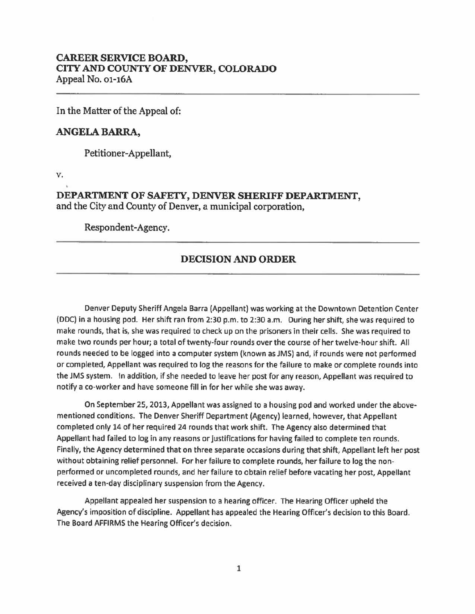## **CAREER SERVICE BOARD, CITY AND COUNTY OF DENVER, COLORADO**  Appeal No. 01-16A

In the Matter of the Appeal of:

## **ANGELA BARRA,**

Petitioner-Appellant,

v.

**DEPARTMENT OF SAFETY, DENVER SHERIFF DEPARTMENT,**  and the City and County of Denver, a municipal corporation,

Respondent-Agency.

## **DECISION AND ORDER**

Denver Deputy Sheriff Angela Barra (Appellant) was working at the Downtown Detention Center (DOC) in a housing pod. Her shift ran from 2:30 p.m. to 2:30 a.m. During her shift, she was required to make rounds, that is, she was required to check up on the prisoners in their cells. She was required to make two rounds per hour; a total of twenty-four rounds over the course of her twelve-hour shift. All rounds needed to be logged into a computer system (known as JMS) and, if rounds were not performed or completed, Appellant was required to log the reasons for the failure to make or complete rounds into the JMS system. In addition, if she needed to leave her post for any reason, Appellant was required to notify a co-worker and have someone fill in for her while she was away.

On September 25, 2013, Appellant was assigned to a housing pod and worked under the abovementioned conditions. The Denver Sheriff Department (Agency) learned, however, that Appellant completed only 14 of her required 24 rounds that work shift. The Agency also determined that Appellant had failed to log in any reasons or justifications for having failed to complete ten rounds. Finally, the Agency determined that on three separate occasions during that shift, Appellant left her post without obtaining relief personnel. For her failure to complete rounds, her failure to log the nonperformed or uncompleted rounds, and her failure to obtain relief before vacating her post, Appellant received a ten-day disciplinary suspension from the Agency.

Appellant appealed her suspension to a hearing officer. The Hearing Officer upheld the Agency's imposition of discipline. Appellant has appealed the Hearing Officer's decision to this Board. The Board AFFIRMS the Hearing Officer's decision.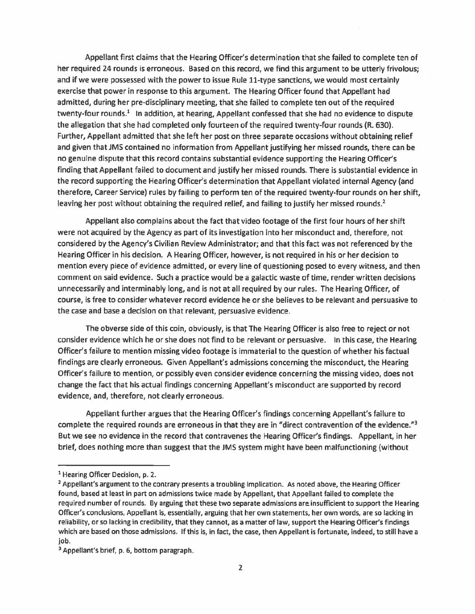Appellant first claims that the Hearing Officer's determination that she failed to complete ten of her required 24 rounds is erroneous. Based on this record, we find this argument to be utterly frivolous; and if we were possessed with the power to issue Rule 11-type sanctions, we would most certainly exercise that power in response to this argument. The Hearing Officer found that Appellant had admitted, during her pre-disciplinary meeting, that she failed to complete ten out of the required twenty-four rounds.<sup>1</sup> In addition, at hearing, Appellant confessed that she had no evidence to dispute the allegation that she had completed only fourteen of the required twenty-four rounds (R. 630). Further, Appellant admitted that she left her post on three separate occasions without obtaining relief and given that JMS contained no information from Appellant justifying her missed rounds, there can be no genuine dispute that this record contains substantial evidence supporting the Hearing Officer's finding that Appellant failed to document and justify her missed rounds. There is substantial evidence in the record supporting the Hearing Officer's determination that Appellant violated internal Agency (and therefore, Career Service) rules by failing to perform ten of the required twenty-four rounds on her shift, leaving her post without obtaining the required relief, and failing to justify her missed rounds.<sup>2</sup>

Appellant also complains about the fact that video footage of the first four hours of her shift were not acquired by the Agency as part of its investigation into her misconduct and, therefore, not considered by the Agency's Civilian Review Administrator; and that this fact was not referenced by the Hearing Officer in his decision. A Hearing Officer, however, is not required in his or her decision to mention every piece of evidence admitted, or every line of questioning posed to every witness, and then comment on said evidence. Such a practice would be a galactic waste of time, render written decisions unnecessarily and interminably long, and is not at all required by our rules. The Hearing Officer, of course, is free to consider whatever record evidence he or she believes to be relevant and persuasive to the case and base a decision on that relevant, persuasive evidence.

The obverse side of this coin, obviously, is that The Hearing Officer is also free to reject or not consider evidence which he or she does not find to be relevant or persuasive. In this case, the Hearing Officer's failure to mention missing video footage is immaterial to the question of whether his factual findings are clearly erroneous. Given Appellant's admissions concerning the misconduct, the Hearing Officer's failure to mention, or possibly even consider evidence concerning the missing video, does not change the fact that his actual findings concerning Appellant's misconduct are supported by record evidence, and, therefore, not clearly erroneous.

Appellant further argues that the Hearing Officer's findings concerning Appellant's failure to complete the required rounds are erroneous in that they are in "direct contravention of the evidence."<sup>3</sup> But we see no evidence in the record that contravenes the Hearing Officer's findings. Appellant, in her brief, does nothing more than suggest that the JMS system might have been malfunctioning (without

<sup>&</sup>lt;sup>1</sup> Hearing Officer Decision, p. 2.

<sup>&</sup>lt;sup>2</sup> Appellant's argument to the contrary presents a troubling implication. As noted above, the Hearing Officer found, based at least in part on admissions twice made by Appellant, that Appellant failed to complete the required number of rounds. By arguing that these two separate admissions are insufficient to support the Hearing Officer's conclusions, Appellant is, essentially, arguing that her own statements, her own words, are so lacking in reliability, or so lacking in credibility, that they cannot, as a matter of law, support the Hearing Officer's findings which are based on those admissions. If this is, in fact, the case, then Appellant is fortunate, indeed, to still have a job.

<sup>3</sup> Appellant's brief, p. 6, bottom paragraph.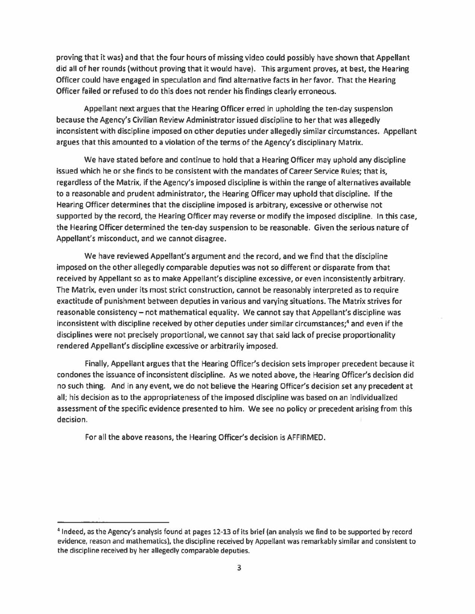proving that it was) and that the four hours of missing video could possibly have shown that Appellant did all of her rounds (without proving that it would have). This argument proves, at best, the Hearing Officer could have engaged in speculation and find alternative facts in her favor. That the Hearing Officer failed or refused to do this does not render his findings clearly erroneous.

Appellant next argues that the Hearing Officer erred in upholding the ten-day suspension because the Agency's Civilian Review Administrator issued discipline to her that was allegedly inconsistent with discipline imposed on other deputies under allegedly similar circumstances. Appellant argues that this amounted to a violation of the terms of the Agency's disciplinary Matrix.

We have stated before and continue to hold that a Hearing Officer may uphold any discipline issued which he or she finds to be consistent with the mandates of Career Service Rules; that is, regardless of the Matrix, if the Agency's imposed discipline is within the range of alternatives available to a reasonable and prudent administrator, the Hearing Officer may uphold that discipline. If the Hearing Officer determines that the discipline imposed is arbitrary, excessive or otherwise not supported by the record, the Hearing Officer may reverse or modify the imposed discipline. In this case, the Hearing Officer determined the ten-day suspension to be reasonable. Given the serious nature of Appellant's misconduct, and we cannot disagree.

We have reviewed Appellant's argument and the record, and we find that the discipline imposed on the other allegedly comparable deputies was not so different or disparate from that received by Appellant so as to make Appellant's discipline excessive, or even inconsistently arbitrary. The Matrix, even under its most strict construction, cannot be reasonably interpreted as to require exactitude of punishment between deputies in various and varying situations. The Matrix strives for reasonable consistency - not mathematical equality. We cannot say that Appellant's discipline was inconsistent with discipline received by other deputies under similar circumstances;4 and even if the disciplines were not precisely proportional, we cannot say that said lack of precise proportionality rendered Appellant's discipline excessive or arbitrarily imposed.

Finally, Appellant argues that the Hearing Officer's decision sets improper precedent because it condones the issuance of inconsistent discipline. As we noted above, the Hearing Officer's decision did no such thing. And in any event, we do not believe the Hearing Officer's decision set any precedent at all; his decision as to the appropriateness of the imposed discipline was based on an individualized assessment of the specific evidence presented to him. We see no policy or precedent arising from this decision.

For all the above reasons, the Hearing Officer's decision is AFFIRMED.

<sup>4</sup> Indeed, as the Agency's analysis found at pages 12-13 of its brief (an analysis we find to be supported by record evidence, reason and mathematics), the discipline received by Appellant was remarkably similar and consistent to the discipline received by her allegedly comparable deputies.